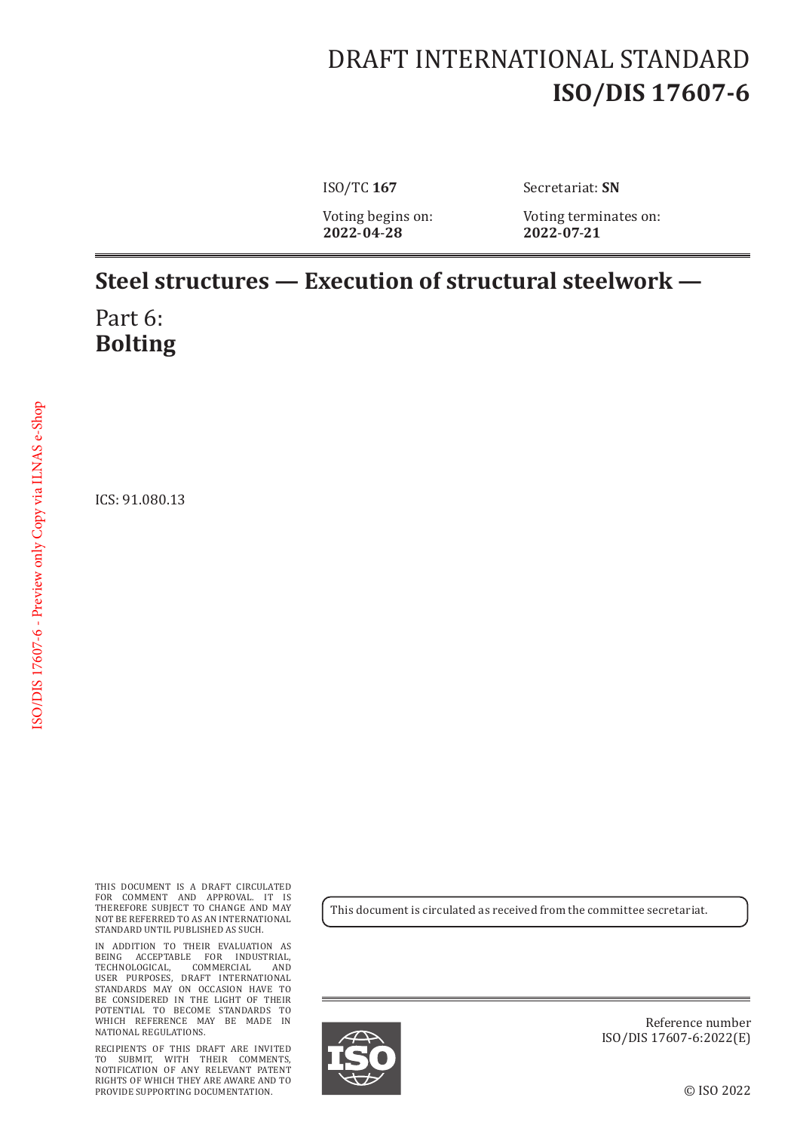## DRAFT INTERNATIONAL STANDARD **ISO/DIS 17607-6**

**2022**-**04**-**28 2022**-**07**-**21**

ISO/TC **167** Secretariat: **SN**

Voting begins on: Voting terminates on:<br>2022-04-28 2022-07-21

## **Steel structures — Execution of structural steelwork —**

Part 6: **Bolting**

ICS: 91.080.13

THIS DOCUMENT IS A DRAFT CIRCULATED FOR COMMENT AND APPROVAL. IT IS THEREFORE SUBJECT TO CHANGE AND MAY NOT BE REFERRED TO AS AN INTERNATIONAL STANDARD UNTIL PUBLISHED AS SUCH.

IN ADDITION TO THEIR EVALUATION AS BEING ACCEPTABLE FOR INDUSTRIAL, TECHNOLOGICAL, COMMERCIAL AND USER PURPOSES, DRAFT INTERNATIONAL STANDARDS MAY ON OCCASION HAVE TO BE CONSIDERED IN THE LIGHT OF THEIR POTENTIAL TO BECOME STANDARDS TO WHICH REFERENCE MAY BE MADE IN NATIONAL REGULATIONS.

RECIPIENTS OF THIS DRAFT ARE INVITED TO SUBMIT, WITH THEIR COMMENTS, NOTIFICATION OF ANY RELEVANT PATENT RIGHTS OF WHICH THEY ARE AWARE AND TO PROVIDE SUPPORTING DOCUMENTATION.

This document is circulated as received from the committee secretariat.



Reference number ISO/DIS 17607-6:2022(E)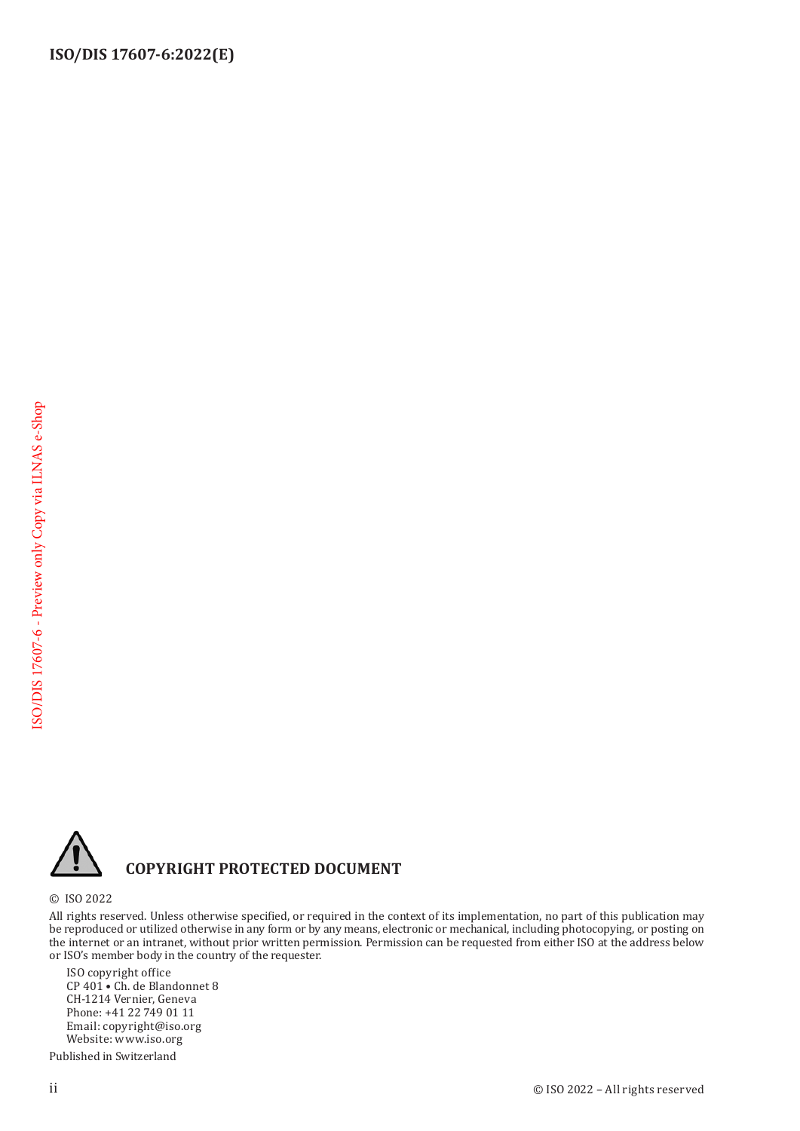**ISO/DIS 17607-6:2022(E)**



## **COPYRIGHT PROTECTED DOCUMENT**

© ISO 2022

All rights reserved. Unless otherwise specified, or required in the context of its implementation, no part of this publication may be reproduced or utilized otherwise in any form or by any means, electronic or mechanical, including photocopying, or posting on the internet or an intranet, without prior written permission. Permission can be requested from either ISO at the address below or ISO's member body in the country of the requester.

ISO copyright office CP 401 • Ch. de Blandonnet 8 CH-1214 Vernier, Geneva Phone: +41 22 749 01 11 Email: copyright@iso.org Website: www.iso.org

Published in Switzerland